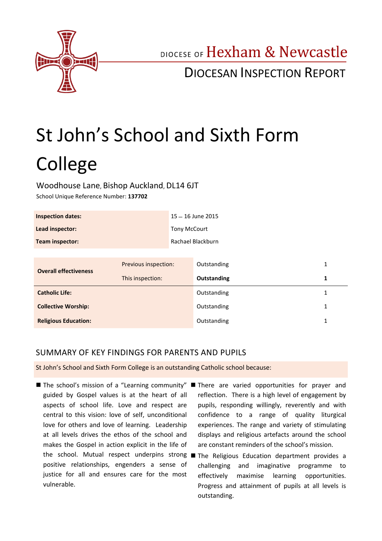

DIOCESE OF Hexham & Newcastle

## DIOCESAN INSPECTION REPORT

# St John's School and Sixth Form College

#### Woodhouse Lane, Bishop Auckland, DL14 6JT

School Unique Reference Number: **137702**

| <b>Inspection dates:</b> | 15 - 16 June 2015   |
|--------------------------|---------------------|
| Lead inspector:          | <b>Tony McCourt</b> |
| <b>Team inspector:</b>   | Rachael Blackburn   |

| <b>Overall effectiveness</b> | Previous inspection: | Outstanding | 1 |
|------------------------------|----------------------|-------------|---|
|                              | This inspection:     | Outstanding |   |
| <b>Catholic Life:</b>        |                      | Outstanding |   |
| <b>Collective Worship:</b>   |                      | Outstanding |   |
| <b>Religious Education:</b>  |                      | Outstanding |   |

## SUMMARY OF KEY FINDINGS FOR PARENTS AND PUPILS

St John's School and Sixth Form College is an outstanding Catholic school because:

- guided by Gospel values is at the heart of all aspects of school life. Love and respect are central to this vision: love of self, unconditional love for others and love of learning. Leadership at all levels drives the ethos of the school and makes the Gospel in action explicit in the life of positive relationships, engenders a sense of justice for all and ensures care for the most vulnerable.
- The school's mission of a "Learning community" There are varied opportunities for prayer and reflection. There is a high level of engagement by pupils, responding willingly, reverently and with confidence to a range of quality liturgical experiences. The range and variety of stimulating displays and religious artefacts around the school are constant reminders of the school's mission.
	- the school. Mutual respect underpins strong The Religious Education department provides a challenging and imaginative programme to effectively maximise learning opportunities. Progress and attainment of pupils at all levels is outstanding.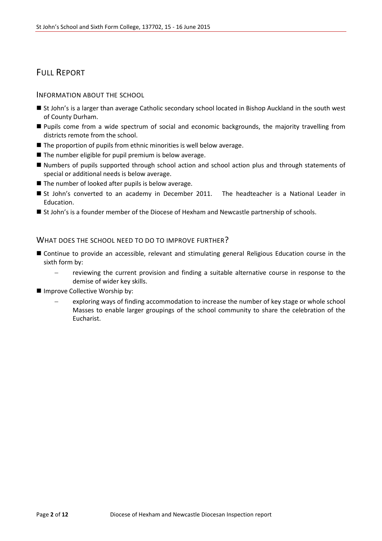## FULL REPORT

#### INFORMATION ABOUT THE SCHOOL

- St John's is a larger than average Catholic secondary school located in Bishop Auckland in the south west of County Durham.
- **Pupils come from a wide spectrum of social and economic backgrounds, the majority travelling from** districts remote from the school.
- $\blacksquare$  The proportion of pupils from ethnic minorities is well below average.
- $\blacksquare$  The number eligible for pupil premium is below average.
- Numbers of pupils supported through school action and school action plus and through statements of special or additional needs is below average.
- The number of looked after pupils is below average.
- St John's converted to an academy in December 2011. The headteacher is a National Leader in Education.
- St John's is a founder member of the Diocese of Hexham and Newcastle partnership of schools.

#### WHAT DOES THE SCHOOL NEED TO DO TO IMPROVE FURTHER?

- Continue to provide an accessible, relevant and stimulating general Religious Education course in the sixth form by:
	- reviewing the current provision and finding a suitable alternative course in response to the demise of wider key skills.
- Improve Collective Worship by:
	- exploring ways of finding accommodation to increase the number of key stage or whole school Masses to enable larger groupings of the school community to share the celebration of the Eucharist.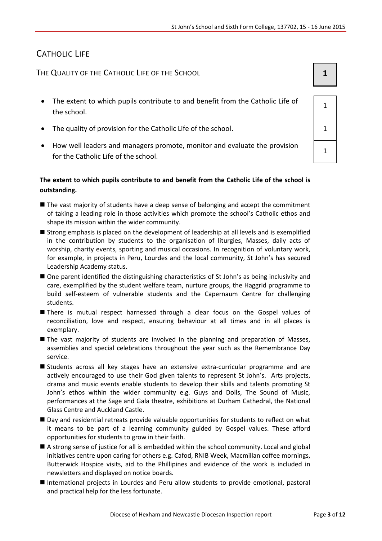## CATHOLIC LIFE

THE QUALITY OF THE CATHOLIC LIFE OF THE SCHOOL **1 1** 

- The extent to which pupils contribute to and benefit from the Catholic Life of the school.
- The quality of provision for the Catholic Life of the school.  $\vert$  1
- How well leaders and managers promote, monitor and evaluate the provision for the Catholic Life of the school.

#### **The extent to which pupils contribute to and benefit from the Catholic Life of the school is outstanding.**

- The vast majority of students have a deep sense of belonging and accept the commitment of taking a leading role in those activities which promote the school's Catholic ethos and shape its mission within the wider community.
- Strong emphasis is placed on the development of leadership at all levels and is exemplified in the contribution by students to the organisation of liturgies, Masses, daily acts of worship, charity events, sporting and musical occasions. In recognition of voluntary work, for example, in projects in Peru, Lourdes and the local community, St John's has secured Leadership Academy status.
- One parent identified the distinguishing characteristics of St John's as being inclusivity and care, exemplified by the student welfare team, nurture groups, the Haggrid programme to build self-esteem of vulnerable students and the Capernaum Centre for challenging students.
- There is mutual respect harnessed through a clear focus on the Gospel values of reconciliation, love and respect, ensuring behaviour at all times and in all places is exemplary.
- The vast majority of students are involved in the planning and preparation of Masses, assemblies and special celebrations throughout the year such as the Remembrance Day service.
- Students across all key stages have an extensive extra-curricular programme and are actively encouraged to use their God given talents to represent St John's. Arts projects, drama and music events enable students to develop their skills and talents promoting St John's ethos within the wider community e.g. Guys and Dolls, The Sound of Music, performances at the Sage and Gala theatre, exhibitions at Durham Cathedral, the National Glass Centre and Auckland Castle.
- Day and residential retreats provide valuable opportunities for students to reflect on what it means to be part of a learning community guided by Gospel values. These afford opportunities for students to grow in their faith.
- A strong sense of justice for all is embedded within the school community. Local and global initiatives centre upon caring for others e.g. Cafod, RNIB Week, Macmillan coffee mornings, Butterwick Hospice visits, aid to the Phillipines and evidence of the work is included in newsletters and displayed on notice boards.
- International projects in Lourdes and Peru allow students to provide emotional, pastoral and practical help for the less fortunate.

1

1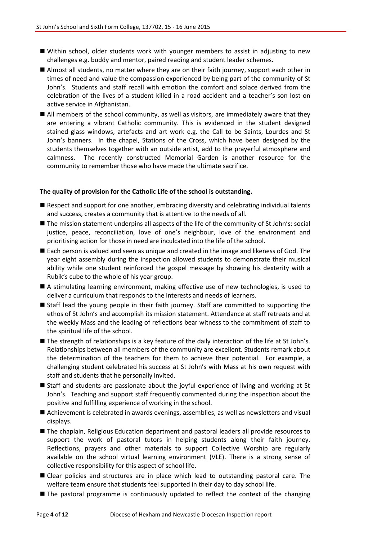- Within school, older students work with younger members to assist in adjusting to new challenges e.g. buddy and mentor, paired reading and student leader schemes.
- Almost all students, no matter where they are on their faith journey, support each other in times of need and value the compassion experienced by being part of the community of St John's. Students and staff recall with emotion the comfort and solace derived from the celebration of the lives of a student killed in a road accident and a teacher's son lost on active service in Afghanistan.
- All members of the school community, as well as visitors, are immediately aware that they are entering a vibrant Catholic community. This is evidenced in the student designed stained glass windows, artefacts and art work e.g. the Call to be Saints, Lourdes and St John's banners. In the chapel, Stations of the Cross, which have been designed by the students themselves together with an outside artist, add to the prayerful atmosphere and calmness. The recently constructed Memorial Garden is another resource for the community to remember those who have made the ultimate sacrifice.

#### **The quality of provision for the Catholic Life of the school is outstanding.**

- Respect and support for one another, embracing diversity and celebrating individual talents and success, creates a community that is attentive to the needs of all.
- The mission statement underpins all aspects of the life of the community of St John's: social justice, peace, reconciliation, love of one's neighbour, love of the environment and prioritising action for those in need are inculcated into the life of the school.
- Each person is valued and seen as unique and created in the image and likeness of God. The year eight assembly during the inspection allowed students to demonstrate their musical ability while one student reinforced the gospel message by showing his dexterity with a Rubik's cube to the whole of his year group.
- A stimulating learning environment, making effective use of new technologies, is used to deliver a curriculum that responds to the interests and needs of learners.
- Staff lead the young people in their faith journey. Staff are committed to supporting the ethos of St John's and accomplish its mission statement. Attendance at staff retreats and at the weekly Mass and the leading of reflections bear witness to the commitment of staff to the spiritual life of the school.
- The strength of relationships is a key feature of the daily interaction of the life at St John's. Relationships between all members of the community are excellent. Students remark about the determination of the teachers for them to achieve their potential. For example, a challenging student celebrated his success at St John's with Mass at his own request with staff and students that he personally invited.
- Staff and students are passionate about the joyful experience of living and working at St John's. Teaching and support staff frequently commented during the inspection about the positive and fulfilling experience of working in the school.
- Achievement is celebrated in awards evenings, assemblies, as well as newsletters and visual displays.
- The chaplain, Religious Education department and pastoral leaders all provide resources to support the work of pastoral tutors in helping students along their faith journey. Reflections, prayers and other materials to support Collective Worship are regularly available on the school virtual learning environment (VLE). There is a strong sense of collective responsibility for this aspect of school life.
- Clear policies and structures are in place which lead to outstanding pastoral care. The welfare team ensure that students feel supported in their day to day school life.
- The pastoral programme is continuously updated to reflect the context of the changing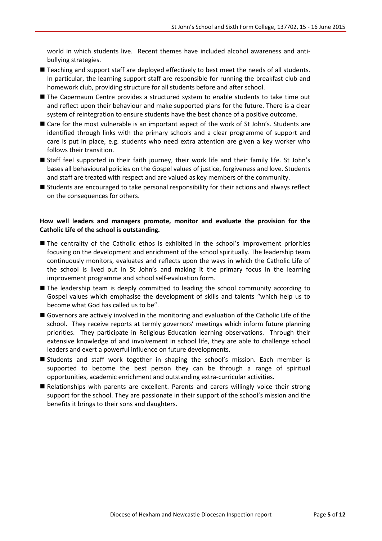world in which students live. Recent themes have included alcohol awareness and antibullying strategies.

- Teaching and support staff are deployed effectively to best meet the needs of all students. In particular, the learning support staff are responsible for running the breakfast club and homework club, providing structure for all students before and after school.
- The Capernaum Centre provides a structured system to enable students to take time out and reflect upon their behaviour and make supported plans for the future. There is a clear system of reintegration to ensure students have the best chance of a positive outcome.
- Care for the most vulnerable is an important aspect of the work of St John's. Students are identified through links with the primary schools and a clear programme of support and care is put in place, e.g. students who need extra attention are given a key worker who follows their transition.
- Staff feel supported in their faith journey, their work life and their family life. St John's bases all behavioural policies on the Gospel values of justice, forgiveness and love. Students and staff are treated with respect and are valued as key members of the community.
- Students are encouraged to take personal responsibility for their actions and always reflect on the consequences for others.

#### **How well leaders and managers promote, monitor and evaluate the provision for the Catholic Life of the school is outstanding.**

- The centrality of the Catholic ethos is exhibited in the school's improvement priorities focusing on the development and enrichment of the school spiritually. The leadership team continuously monitors, evaluates and reflects upon the ways in which the Catholic Life of the school is lived out in St John's and making it the primary focus in the learning improvement programme and school self-evaluation form.
- The leadership team is deeply committed to leading the school community according to Gospel values which emphasise the development of skills and talents "which help us to become what God has called us to be".
- Governors are actively involved in the monitoring and evaluation of the Catholic Life of the school. They receive reports at termly governors' meetings which inform future planning priorities. They participate in Religious Education learning observations. Through their extensive knowledge of and involvement in school life, they are able to challenge school leaders and exert a powerful influence on future developments.
- Students and staff work together in shaping the school's mission. Each member is supported to become the best person they can be through a range of spiritual opportunities, academic enrichment and outstanding extra-curricular activities.
- Relationships with parents are excellent. Parents and carers willingly voice their strong support for the school. They are passionate in their support of the school's mission and the benefits it brings to their sons and daughters.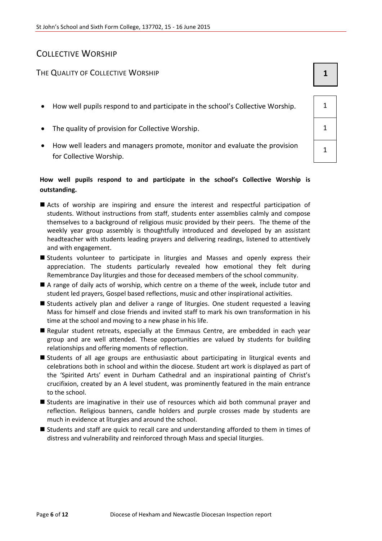## COLLECTIVE WORSHIP

### THE QUALITY OF COLLECTIVE WORSHIP **1 1**

- How well pupils respond to and participate in the school's Collective Worship.  $\begin{vmatrix} 1 & 1 \\ 1 & 1 \end{vmatrix}$
- The quality of provision for Collective Worship. 1
- How well leaders and managers promote, monitor and evaluate the provision for Collective Worship.

#### **How well pupils respond to and participate in the school's Collective Worship is outstanding.**

- Acts of worship are inspiring and ensure the interest and respectful participation of students. Without instructions from staff, students enter assemblies calmly and compose themselves to a background of religious music provided by their peers. The theme of the weekly year group assembly is thoughtfully introduced and developed by an assistant headteacher with students leading prayers and delivering readings, listened to attentively and with engagement.
- Students volunteer to participate in liturgies and Masses and openly express their appreciation. The students particularly revealed how emotional they felt during Remembrance Day liturgies and those for deceased members of the school community.
- A range of daily acts of worship, which centre on a theme of the week, include tutor and student led prayers, Gospel based reflections, music and other inspirational activities.
- **Students actively plan and deliver a range of liturgies. One student requested a leaving** Mass for himself and close friends and invited staff to mark his own transformation in his time at the school and moving to a new phase in his life.
- Regular student retreats, especially at the Emmaus Centre, are embedded in each year group and are well attended. These opportunities are valued by students for building relationships and offering moments of reflection.
- Students of all age groups are enthusiastic about participating in liturgical events and celebrations both in school and within the diocese. Student art work is displayed as part of the 'Spirited Arts' event in Durham Cathedral and an inspirational painting of Christ's crucifixion, created by an A level student, was prominently featured in the main entrance to the school.
- Students are imaginative in their use of resources which aid both communal prayer and reflection. Religious banners, candle holders and purple crosses made by students are much in evidence at liturgies and around the school.
- Students and staff are quick to recall care and understanding afforded to them in times of distress and vulnerability and reinforced through Mass and special liturgies.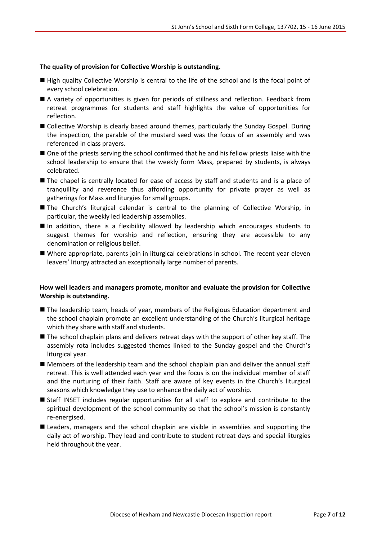#### **The quality of provision for Collective Worship is outstanding.**

- High quality Collective Worship is central to the life of the school and is the focal point of every school celebration.
- A variety of opportunities is given for periods of stillness and reflection. Feedback from retreat programmes for students and staff highlights the value of opportunities for reflection.
- Collective Worship is clearly based around themes, particularly the Sunday Gospel. During the inspection, the parable of the mustard seed was the focus of an assembly and was referenced in class prayers.
- $\blacksquare$  One of the priests serving the school confirmed that he and his fellow priests liaise with the school leadership to ensure that the weekly form Mass, prepared by students, is always celebrated.
- The chapel is centrally located for ease of access by staff and students and is a place of tranquillity and reverence thus affording opportunity for private prayer as well as gatherings for Mass and liturgies for small groups.
- The Church's liturgical calendar is central to the planning of Collective Worship, in particular, the weekly led leadership assemblies.
- In addition, there is a flexibility allowed by leadership which encourages students to suggest themes for worship and reflection, ensuring they are accessible to any denomination or religious belief.
- Where appropriate, parents join in liturgical celebrations in school. The recent year eleven leavers' liturgy attracted an exceptionally large number of parents.

#### **How well leaders and managers promote, monitor and evaluate the provision for Collective Worship is outstanding.**

- The leadership team, heads of year, members of the Religious Education department and the school chaplain promote an excellent understanding of the Church's liturgical heritage which they share with staff and students.
- The school chaplain plans and delivers retreat days with the support of other key staff. The assembly rota includes suggested themes linked to the Sunday gospel and the Church's liturgical year.
- Members of the leadership team and the school chaplain plan and deliver the annual staff retreat. This is well attended each year and the focus is on the individual member of staff and the nurturing of their faith. Staff are aware of key events in the Church's liturgical seasons which knowledge they use to enhance the daily act of worship.
- Staff INSET includes regular opportunities for all staff to explore and contribute to the spiritual development of the school community so that the school's mission is constantly re-energised.
- **Leaders, managers and the school chaplain are visible in assemblies and supporting the** daily act of worship. They lead and contribute to student retreat days and special liturgies held throughout the year.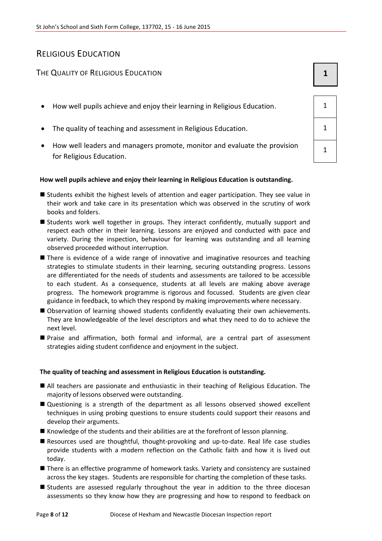## RELIGIOUS EDUCATION

### The Quality of Religious Education **1 1 1**

- $\bullet$  How well pupils achieve and enjoy their learning in Religious Education.  $\vert$  1
- The quality of teaching and assessment in Religious Education.  $\vert 1 \rangle$
- How well leaders and managers promote, monitor and evaluate the provision for Religious Education.

#### **How well pupils achieve and enjoy their learning in Religious Education is outstanding.**

- Students exhibit the highest levels of attention and eager participation. They see value in their work and take care in its presentation which was observed in the scrutiny of work books and folders.
- Students work well together in groups. They interact confidently, mutually support and respect each other in their learning. Lessons are enjoyed and conducted with pace and variety. During the inspection, behaviour for learning was outstanding and all learning observed proceeded without interruption.
- There is evidence of a wide range of innovative and imaginative resources and teaching strategies to stimulate students in their learning, securing outstanding progress. Lessons are differentiated for the needs of students and assessments are tailored to be accessible to each student. As a consequence, students at all levels are making above average progress. The homework programme is rigorous and focussed. Students are given clear guidance in feedback, to which they respond by making improvements where necessary.
- Observation of learning showed students confidently evaluating their own achievements. They are knowledgeable of the level descriptors and what they need to do to achieve the next level.
- Praise and affirmation, both formal and informal, are a central part of assessment strategies aiding student confidence and enjoyment in the subject.

#### **The quality of teaching and assessment in Religious Education is outstanding.**

- All teachers are passionate and enthusiastic in their teaching of Religious Education. The majority of lessons observed were outstanding.
- Questioning is a strength of the department as all lessons observed showed excellent techniques in using probing questions to ensure students could support their reasons and develop their arguments.
- $\blacksquare$  Knowledge of the students and their abilities are at the forefront of lesson planning.
- Resources used are thoughtful, thought-provoking and up-to-date. Real life case studies provide students with a modern reflection on the Catholic faith and how it is lived out today.
- There is an effective programme of homework tasks. Variety and consistency are sustained across the key stages. Students are responsible for charting the completion of these tasks.
- **Students are assessed regularly throughout the year in addition to the three diocesan** assessments so they know how they are progressing and how to respond to feedback on

1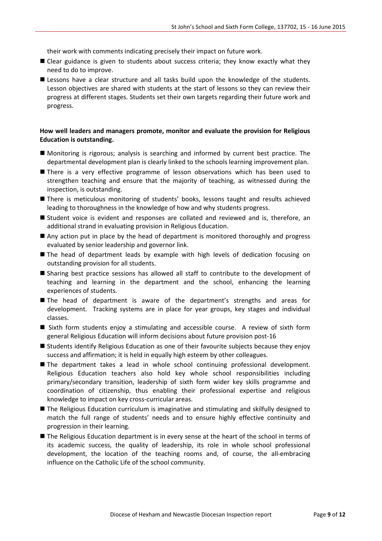their work with comments indicating precisely their impact on future work.

- Clear guidance is given to students about success criteria; they know exactly what they need to do to improve.
- **E** Lessons have a clear structure and all tasks build upon the knowledge of the students. Lesson objectives are shared with students at the start of lessons so they can review their progress at different stages. Students set their own targets regarding their future work and progress.

#### **How well leaders and managers promote, monitor and evaluate the provision for Religious Education is outstanding.**

- Monitoring is rigorous; analysis is searching and informed by current best practice. The departmental development plan is clearly linked to the schools learning improvement plan.
- **There is a very effective programme of lesson observations which has been used to** strengthen teaching and ensure that the majority of teaching, as witnessed during the inspection, is outstanding.
- There is meticulous monitoring of students' books, lessons taught and results achieved leading to thoroughness in the knowledge of how and why students progress.
- Student voice is evident and responses are collated and reviewed and is, therefore, an additional strand in evaluating provision in Religious Education.
- Any action put in place by the head of department is monitored thoroughly and progress evaluated by senior leadership and governor link.
- The head of department leads by example with high levels of dedication focusing on outstanding provision for all students.
- Sharing best practice sessions has allowed all staff to contribute to the development of teaching and learning in the department and the school, enhancing the learning experiences of students.
- The head of department is aware of the department's strengths and areas for development. Tracking systems are in place for year groups, key stages and individual classes.
- Sixth form students enjoy a stimulating and accessible course. A review of sixth form general Religious Education will inform decisions about future provision post-16
- Students identify Religious Education as one of their favourite subjects because they enjoy success and affirmation; it is held in equally high esteem by other colleagues.
- The department takes a lead in whole school continuing professional development. Religious Education teachers also hold key whole school responsibilities including primary/secondary transition, leadership of sixth form wider key skills programme and coordination of citizenship, thus enabling their professional expertise and religious knowledge to impact on key cross-curricular areas.
- The Religious Education curriculum is imaginative and stimulating and skilfully designed to match the full range of students' needs and to ensure highly effective continuity and progression in their learning.
- The Religious Education department is in every sense at the heart of the school in terms of its academic success, the quality of leadership, its role in whole school professional development, the location of the teaching rooms and, of course, the all-embracing influence on the Catholic Life of the school community.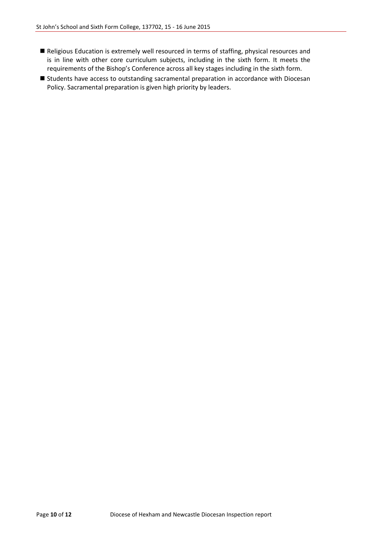- Religious Education is extremely well resourced in terms of staffing, physical resources and is in line with other core curriculum subjects, including in the sixth form. It meets the requirements of the Bishop's Conference across all key stages including in the sixth form.
- Students have access to outstanding sacramental preparation in accordance with Diocesan Policy. Sacramental preparation is given high priority by leaders.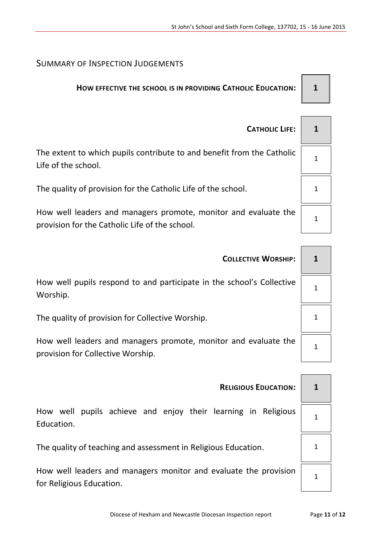## SUMMARY OF INSPECTION JUDGEMENTS

## **HOW EFFECTIVE THE SCHOOL IS IN PROVIDING CATHOLIC EDUCATION: 1**

| <b>CATHOLIC LIFE:</b>                                                                                             |  |
|-------------------------------------------------------------------------------------------------------------------|--|
| The extent to which pupils contribute to and benefit from the Catholic<br>Life of the school.                     |  |
| The quality of provision for the Catholic Life of the school.                                                     |  |
| How well leaders and managers promote, monitor and evaluate the<br>provision for the Catholic Life of the school. |  |

| <b>COLLECTIVE WORSHIP:</b>                                                        |  |
|-----------------------------------------------------------------------------------|--|
| How well pupils respond to and participate in the school's Collective<br>Worship. |  |
| The quality of provision for Collective Worship.                                  |  |
| How well leaders and managers promote, monitor and evaluate the                   |  |

How well leaders and managers promote, monitor and evaluate the provision for Collective Worship.

| $\mathbf{1}$   |  |
|----------------|--|
| 1              |  |
| $\mathbf 1$    |  |
| $\overline{1}$ |  |

## **RELIGIOUS EDUCATION: 1**

How well pupils achieve and enjoy their learning in Religious Education.

The quality of teaching and assessment in Religious Education. 1

How well leaders and managers monitor and evaluate the provision for Religious Education.